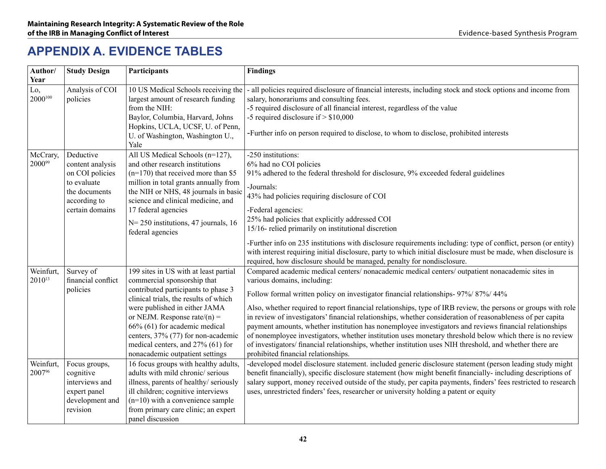# **Appendix A. Evidence Tables**

| Author/<br>Year          | <b>Study Design</b>                                                                                                 | Participants                                                                                                                                                                                                                                                                                                                                                            | <b>Findings</b>                                                                                                                                                                                                                                                                                                                                                                                                                                                                                                                                                                                                                                                                                                                                                                                                               |
|--------------------------|---------------------------------------------------------------------------------------------------------------------|-------------------------------------------------------------------------------------------------------------------------------------------------------------------------------------------------------------------------------------------------------------------------------------------------------------------------------------------------------------------------|-------------------------------------------------------------------------------------------------------------------------------------------------------------------------------------------------------------------------------------------------------------------------------------------------------------------------------------------------------------------------------------------------------------------------------------------------------------------------------------------------------------------------------------------------------------------------------------------------------------------------------------------------------------------------------------------------------------------------------------------------------------------------------------------------------------------------------|
| Lo,<br>$2000^{100}$      | Analysis of COI<br>policies                                                                                         | 10 US Medical Schools receiving the<br>largest amount of research funding<br>from the NIH:<br>Baylor, Columbia, Harvard, Johns<br>Hopkins, UCLA, UCSF, U. of Penn,<br>U. of Washington, Washington U.,<br>Yale                                                                                                                                                          | all policies required disclosure of financial interests, including stock and stock options and income from<br>salary, honorariums and consulting fees.<br>-5 required disclosure of all financial interest, regardless of the value<br>-5 required disclosure if $> $10,000$<br>-Further info on person required to disclose, to whom to disclose, prohibited interests                                                                                                                                                                                                                                                                                                                                                                                                                                                       |
| McCrary,<br>200099       | Deductive<br>content analysis<br>on COI policies<br>to evaluate<br>the documents<br>according to<br>certain domains | All US Medical Schools (n=127),<br>and other research institutions<br>$(n=170)$ that received more than \$5<br>million in total grants annually from<br>the NIH or NHS, 48 journals in basic<br>science and clinical medicine, and<br>17 federal agencies<br>N= 250 institutions, 47 journals, 16<br>federal agencies                                                   | -250 institutions:<br>6% had no COI policies<br>91% adhered to the federal threshold for disclosure, 9% exceeded federal guidelines<br>-Journals:<br>43% had policies requiring disclosure of COI<br>-Federal agencies:<br>25% had policies that explicitly addressed COI<br>15/16- relied primarily on institutional discretion<br>-Further info on 235 institutions with disclosure requirements including: type of conflict, person (or entity)<br>with interest requiring initial disclosure, party to which initial disclosure must be made, when disclosure is<br>required, how disclosure should be managed, penalty for nondisclosure.                                                                                                                                                                                |
| Weinfurt,<br>$2010^{13}$ | Survey of<br>financial conflict<br>policies                                                                         | 199 sites in US with at least partial<br>commercial sponsorship that<br>contributed participants to phase 3<br>clinical trials, the results of which<br>were published in either JAMA<br>or NEJM. Response rate/ $(n)$ =<br>66% (61) for academic medical<br>centers, 37% (77) for non-academic<br>medical centers, and 27% (61) for<br>nonacademic outpatient settings | Compared academic medical centers/ nonacademic medical centers/ outpatient nonacademic sites in<br>various domains, including:<br>Follow formal written policy on investigator financial relationships- 97%/ 87%/ 44%<br>Also, whether required to report financial relationships, type of IRB review, the persons or groups with role<br>in review of investigators' financial relationships, whether consideration of reasonableness of per capita<br>payment amounts, whether institution has nonemployee investigators and reviews financial relationships<br>of nonemployee investigators, whether institution uses monetary threshold below which there is no review<br>of investigators/ financial relationships, whether institution uses NIH threshold, and whether there are<br>prohibited financial relationships. |
| Weinfurt,<br>2007%       | Focus groups,<br>cognitive<br>interviews and<br>expert panel<br>development and<br>revision                         | 16 focus groups with healthy adults,<br>adults with mild chronic/serious<br>illness, parents of healthy/seriously<br>ill children; cognitive interviews<br>$(n=10)$ with a convenience sample<br>from primary care clinic; an expert<br>panel discussion                                                                                                                | -developed model disclosure statement. included generic disclosure statement (person leading study might<br>benefit financially), specific disclosure statement (how might benefit financially-including descriptions of<br>salary support, money received outside of the study, per capita payments, finders' fees restricted to research<br>uses, unrestricted finders' fees, researcher or university holding a patent or equity                                                                                                                                                                                                                                                                                                                                                                                           |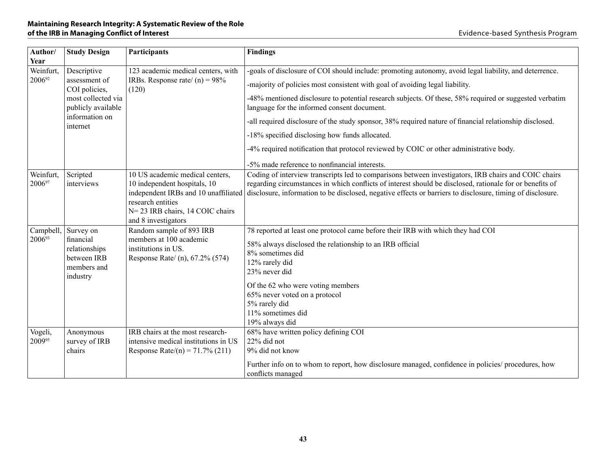| Author/<br>Year     | <b>Study Design</b>                                                               | Participants                                                                                                                                                                            | <b>Findings</b>                                                                                                                                                                                                                                                                                                                  |
|---------------------|-----------------------------------------------------------------------------------|-----------------------------------------------------------------------------------------------------------------------------------------------------------------------------------------|----------------------------------------------------------------------------------------------------------------------------------------------------------------------------------------------------------------------------------------------------------------------------------------------------------------------------------|
| Weinfurt,           | Descriptive                                                                       | 123 academic medical centers, with                                                                                                                                                      | -goals of disclosure of COI should include: promoting autonomy, avoid legal liability, and deterrence.                                                                                                                                                                                                                           |
| 200692              | assessment of<br>COI policies,                                                    | IRBs. Response rate/ $(n) = 98\%$<br>(120)                                                                                                                                              | -majority of policies most consistent with goal of avoiding legal liability.                                                                                                                                                                                                                                                     |
|                     | most collected via<br>publicly available                                          |                                                                                                                                                                                         | -48% mentioned disclosure to potential research subjects. Of these, 58% required or suggested verbatim<br>language for the informed consent document.                                                                                                                                                                            |
|                     | information on<br>internet                                                        |                                                                                                                                                                                         | -all required disclosure of the study sponsor, 38% required nature of financial relationship disclosed.                                                                                                                                                                                                                          |
|                     |                                                                                   |                                                                                                                                                                                         | -18% specified disclosing how funds allocated.                                                                                                                                                                                                                                                                                   |
|                     |                                                                                   |                                                                                                                                                                                         | -4% required notification that protocol reviewed by COIC or other administrative body.                                                                                                                                                                                                                                           |
|                     |                                                                                   |                                                                                                                                                                                         | -5% made reference to nonfinancial interests.                                                                                                                                                                                                                                                                                    |
| Weinfurt,<br>200697 | Scripted<br>interviews                                                            | 10 US academic medical centers,<br>10 independent hospitals, 10<br>independent IRBs and 10 unaffiliated<br>research entities<br>N= 23 IRB chairs, 14 COIC chairs<br>and 8 investigators | Coding of interview transcripts led to comparisons between investigators, IRB chairs and COIC chairs<br>regarding circumstances in which conflicts of interest should be disclosed, rationale for or benefits of<br>disclosure, information to be disclosed, negative effects or barriers to disclosure, timing of disclosure.   |
| Campbell,<br>200693 | Survey on<br>financial<br>relationships<br>between IRB<br>members and<br>industry | Random sample of 893 IRB<br>members at 100 academic<br>institutions in US.<br>Response Rate/ (n), 67.2% (574)                                                                           | 78 reported at least one protocol came before their IRB with which they had COI<br>58% always disclosed the relationship to an IRB official<br>8% sometimes did<br>12% rarely did<br>23% never did<br>Of the 62 who were voting members<br>65% never voted on a protocol<br>5% rarely did<br>11% sometimes did<br>19% always did |
| Vogeli,<br>200995   | Anonymous<br>survey of IRB<br>chairs                                              | IRB chairs at the most research-<br>intensive medical institutions in US<br>Response Rate/(n) = $71.7\%$ (211)                                                                          | 68% have written policy defining COI<br>22% did not<br>9% did not know<br>Further info on to whom to report, how disclosure managed, confidence in policies/ procedures, how<br>conflicts managed                                                                                                                                |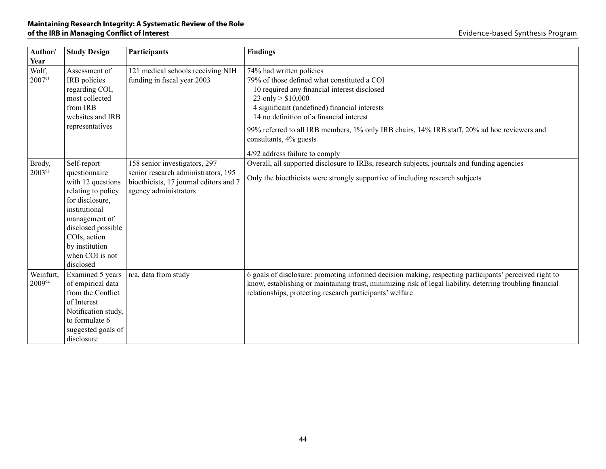| Author/                 | <b>Study Design</b>                                                                                                                                                                                                  | Participants                                                                                                                            | <b>Findings</b>                                                                                                                                                                                                                                                                                                                                                                                         |
|-------------------------|----------------------------------------------------------------------------------------------------------------------------------------------------------------------------------------------------------------------|-----------------------------------------------------------------------------------------------------------------------------------------|---------------------------------------------------------------------------------------------------------------------------------------------------------------------------------------------------------------------------------------------------------------------------------------------------------------------------------------------------------------------------------------------------------|
| Year<br>Wolf,<br>200791 | Assessment of<br>IRB policies<br>regarding COI,<br>most collected<br>from IRB<br>websites and IRB<br>representatives                                                                                                 | 121 medical schools receiving NIH<br>funding in fiscal year 2003                                                                        | 74% had written policies<br>79% of those defined what constituted a COI<br>10 required any financial interest disclosed<br>23 only $> $10,000$<br>4 significant (undefined) financial interests<br>14 no definition of a financial interest<br>99% referred to all IRB members, 1% only IRB chairs, 14% IRB staff, 20% ad hoc reviewers and<br>consultants, 4% guests<br>4/92 address failure to comply |
| Brody,<br>200398        | Self-report<br>questionnaire<br>with 12 questions<br>relating to policy<br>for disclosure,<br>institutional<br>management of<br>disclosed possible<br>COIs, action<br>by institution<br>when COI is not<br>disclosed | 158 senior investigators, 297<br>senior research administrators, 195<br>bioethicists, 17 journal editors and 7<br>agency administrators | Overall, all supported disclosure to IRBs, research subjects, journals and funding agencies<br>Only the bioethicists were strongly supportive of including research subjects                                                                                                                                                                                                                            |
| Weinfurt,<br>200994     | Examined 5 years<br>of empirical data<br>from the Conflict<br>of Interest<br>Notification study,<br>to formulate 6<br>suggested goals of<br>disclosure                                                               | n/a, data from study                                                                                                                    | 6 goals of disclosure: promoting informed decision making, respecting participants' perceived right to<br>know, establishing or maintaining trust, minimizing risk of legal liability, deterring troubling financial<br>relationships, protecting research participants' welfare                                                                                                                        |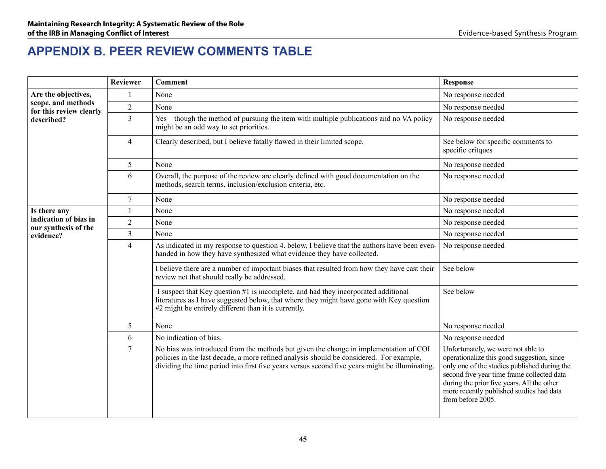# **Appendix B. Peer Review COMMENTS TABLE**

|                                               | <b>Reviewer</b> | <b>Comment</b>                                                                                                                                                                                                                                                                     | <b>Response</b>                                                                                                                                                                                                                                                                               |
|-----------------------------------------------|-----------------|------------------------------------------------------------------------------------------------------------------------------------------------------------------------------------------------------------------------------------------------------------------------------------|-----------------------------------------------------------------------------------------------------------------------------------------------------------------------------------------------------------------------------------------------------------------------------------------------|
| Are the objectives,                           | 1               | None                                                                                                                                                                                                                                                                               | No response needed                                                                                                                                                                                                                                                                            |
| scope, and methods<br>for this review clearly | $\overline{2}$  | None                                                                                                                                                                                                                                                                               | No response needed                                                                                                                                                                                                                                                                            |
| described?                                    | $\overline{3}$  | Yes – though the method of pursuing the item with multiple publications and no VA policy<br>might be an odd way to set priorities.                                                                                                                                                 | No response needed                                                                                                                                                                                                                                                                            |
|                                               | $\overline{4}$  | Clearly described, but I believe fatally flawed in their limited scope.                                                                                                                                                                                                            | See below for specific comments to<br>specific critques                                                                                                                                                                                                                                       |
|                                               | 5               | None                                                                                                                                                                                                                                                                               | No response needed                                                                                                                                                                                                                                                                            |
|                                               | 6               | Overall, the purpose of the review are clearly defined with good documentation on the<br>methods, search terms, inclusion/exclusion criteria, etc.                                                                                                                                 | No response needed                                                                                                                                                                                                                                                                            |
|                                               | $\overline{7}$  | None                                                                                                                                                                                                                                                                               | No response needed                                                                                                                                                                                                                                                                            |
| Is there any                                  |                 | None                                                                                                                                                                                                                                                                               | No response needed                                                                                                                                                                                                                                                                            |
| indication of bias in<br>our synthesis of the | $\overline{c}$  | None                                                                                                                                                                                                                                                                               | No response needed                                                                                                                                                                                                                                                                            |
| evidence?                                     | $\overline{3}$  | None                                                                                                                                                                                                                                                                               | No response needed                                                                                                                                                                                                                                                                            |
|                                               | $\overline{4}$  | As indicated in my response to question 4. below, I believe that the authors have been even-<br>handed in how they have synthesized what evidence they have collected.                                                                                                             | No response needed                                                                                                                                                                                                                                                                            |
|                                               |                 | I believe there are a number of important biases that resulted from how they have cast their<br>review net that should really be addressed.                                                                                                                                        | See below                                                                                                                                                                                                                                                                                     |
|                                               |                 | I suspect that Key question #1 is incomplete, and had they incorporated additional<br>literatures as I have suggested below, that where they might have gone with Key question<br>#2 might be entirely different than it is currently.                                             | See below                                                                                                                                                                                                                                                                                     |
|                                               | 5               | None                                                                                                                                                                                                                                                                               | No response needed                                                                                                                                                                                                                                                                            |
|                                               | 6               | No indication of bias.                                                                                                                                                                                                                                                             | No response needed                                                                                                                                                                                                                                                                            |
|                                               | $\overline{7}$  | No bias was introduced from the methods but given the change in implementation of COI<br>policies in the last decade, a more refined analysis should be considered. For example,<br>dividing the time period into first five years versus second five years might be illuminating. | Unfortunately, we were not able to<br>operationalize this good suggestion, since<br>only one of the studies published during the<br>second five year time frame collected data<br>during the prior five years. All the other<br>more recently published studies had data<br>from before 2005. |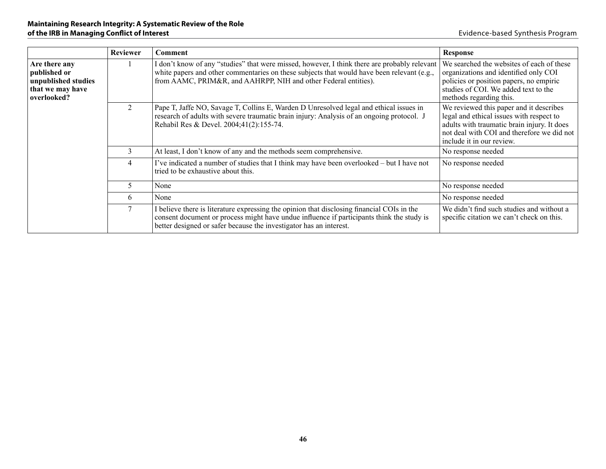|                                                                                         | <b>Reviewer</b> | Comment                                                                                                                                                                                                                                                       | <b>Response</b>                                                                                                                                                                                               |
|-----------------------------------------------------------------------------------------|-----------------|---------------------------------------------------------------------------------------------------------------------------------------------------------------------------------------------------------------------------------------------------------------|---------------------------------------------------------------------------------------------------------------------------------------------------------------------------------------------------------------|
| Are there any<br>published or<br>unpublished studies<br>that we may have<br>overlooked? |                 | I don't know of any "studies" that were missed, however, I think there are probably relevant<br>white papers and other commentaries on these subjects that would have been relevant (e.g.,<br>from AAMC, PRIM&R, and AAHRPP, NIH and other Federal entities). | We searched the websites of each of these<br>organizations and identified only COI<br>policies or position papers, no empiric<br>studies of COI. We added text to the<br>methods regarding this.              |
|                                                                                         | 2               | Pape T, Jaffe NO, Savage T, Collins E, Warden D Unresolved legal and ethical issues in<br>research of adults with severe traumatic brain injury: Analysis of an ongoing protocol. J<br>Rehabil Res & Devel. 2004;41(2):155-74.                                | We reviewed this paper and it describes<br>legal and ethical issues with respect to<br>adults with traumatic brain injury. It does<br>not deal with COI and therefore we did not<br>include it in our review. |
|                                                                                         | 3               | At least, I don't know of any and the methods seem comprehensive.                                                                                                                                                                                             | No response needed                                                                                                                                                                                            |
|                                                                                         | 4               | I've indicated a number of studies that I think may have been overlooked - but I have not<br>tried to be exhaustive about this.                                                                                                                               | No response needed                                                                                                                                                                                            |
|                                                                                         | 5               | None                                                                                                                                                                                                                                                          | No response needed                                                                                                                                                                                            |
|                                                                                         | 6               | None                                                                                                                                                                                                                                                          | No response needed                                                                                                                                                                                            |
|                                                                                         |                 | I believe there is literature expressing the opinion that disclosing financial COIs in the<br>consent document or process might have undue influence if participants think the study is<br>better designed or safer because the investigator has an interest. | We didn't find such studies and without a<br>specific citation we can't check on this.                                                                                                                        |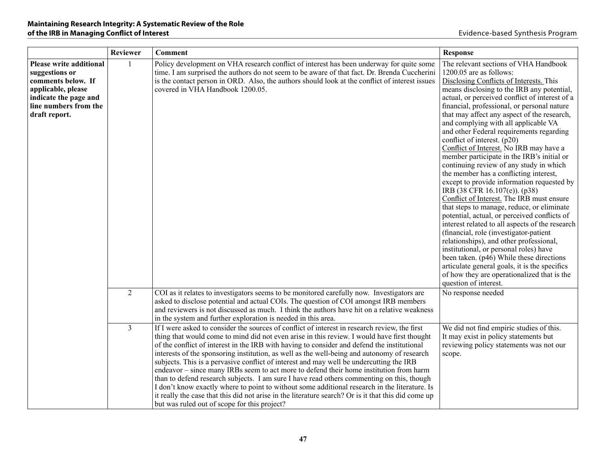|                                                                                                                                                                 | <b>Reviewer</b> | <b>Comment</b>                                                                                                                                                                                                                                                                                                                                                                                                                                                                                                                                                                                                                                                                                                                                                                                                                                                                                                                       | Response                                                                                                                                                                                                                                                                                                                                                                                                                                                                                                                                                                                                                                                                                                                                                                                                                                                                                                                                                                                                                                                                                                                                                                                    |
|-----------------------------------------------------------------------------------------------------------------------------------------------------------------|-----------------|--------------------------------------------------------------------------------------------------------------------------------------------------------------------------------------------------------------------------------------------------------------------------------------------------------------------------------------------------------------------------------------------------------------------------------------------------------------------------------------------------------------------------------------------------------------------------------------------------------------------------------------------------------------------------------------------------------------------------------------------------------------------------------------------------------------------------------------------------------------------------------------------------------------------------------------|---------------------------------------------------------------------------------------------------------------------------------------------------------------------------------------------------------------------------------------------------------------------------------------------------------------------------------------------------------------------------------------------------------------------------------------------------------------------------------------------------------------------------------------------------------------------------------------------------------------------------------------------------------------------------------------------------------------------------------------------------------------------------------------------------------------------------------------------------------------------------------------------------------------------------------------------------------------------------------------------------------------------------------------------------------------------------------------------------------------------------------------------------------------------------------------------|
| <b>Please write additional</b><br>suggestions or<br>comments below. If<br>applicable, please<br>indicate the page and<br>line numbers from the<br>draft report. | $\mathbf{1}$    | Policy development on VHA research conflict of interest has been underway for quite some<br>time. I am surprised the authors do not seem to be aware of that fact. Dr. Brenda Cuccherini<br>is the contact person in ORD. Also, the authors should look at the conflict of interest issues<br>covered in VHA Handbook 1200.05.                                                                                                                                                                                                                                                                                                                                                                                                                                                                                                                                                                                                       | The relevant sections of VHA Handbook<br>1200.05 are as follows:<br>Disclosing Conflicts of Interests. This<br>means disclosing to the IRB any potential,<br>actual, or perceived conflict of interest of a<br>financial, professional, or personal nature<br>that may affect any aspect of the research,<br>and complying with all applicable VA<br>and other Federal requirements regarding<br>conflict of interest. (p20)<br>Conflict of Interest. No IRB may have a<br>member participate in the IRB's initial or<br>continuing review of any study in which<br>the member has a conflicting interest,<br>except to provide information requested by<br>IRB (38 CFR 16.107(e)). (p38)<br>Conflict of Interest. The IRB must ensure<br>that steps to manage, reduce, or eliminate<br>potential, actual, or perceived conflicts of<br>interest related to all aspects of the research<br>(financial, role (investigator-patient<br>relationships), and other professional,<br>institutional, or personal roles) have<br>been taken. (p46) While these directions<br>articulate general goals, it is the specifics<br>of how they are operationalized that is the<br>question of interest. |
|                                                                                                                                                                 | 2               | COI as it relates to investigators seems to be monitored carefully now. Investigators are<br>asked to disclose potential and actual COIs. The question of COI amongst IRB members<br>and reviewers is not discussed as much. I think the authors have hit on a relative weakness<br>in the system and further exploration is needed in this area.                                                                                                                                                                                                                                                                                                                                                                                                                                                                                                                                                                                    | No response needed                                                                                                                                                                                                                                                                                                                                                                                                                                                                                                                                                                                                                                                                                                                                                                                                                                                                                                                                                                                                                                                                                                                                                                          |
|                                                                                                                                                                 | $\overline{3}$  | If I were asked to consider the sources of conflict of interest in research review, the first<br>thing that would come to mind did not even arise in this review. I would have first thought<br>of the conflict of interest in the IRB with having to consider and defend the institutional<br>interests of the sponsoring institution, as well as the well-being and autonomy of research<br>subjects. This is a pervasive conflict of interest and may well be undercutting the IRB<br>endeavor – since many IRBs seem to act more to defend their home institution from harm<br>than to defend research subjects. I am sure I have read others commenting on this, though<br>I don't know exactly where to point to without some additional research in the literature. Is<br>it really the case that this did not arise in the literature search? Or is it that this did come up<br>but was ruled out of scope for this project? | We did not find empiric studies of this.<br>It may exist in policy statements but<br>reviewing policy statements was not our<br>scope.                                                                                                                                                                                                                                                                                                                                                                                                                                                                                                                                                                                                                                                                                                                                                                                                                                                                                                                                                                                                                                                      |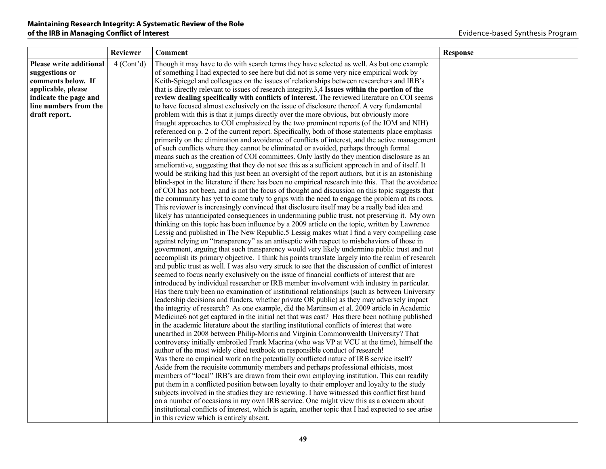|                         | <b>Reviewer</b>         | <b>Comment</b>                                                                                                                                                                             | <b>Response</b> |
|-------------------------|-------------------------|--------------------------------------------------------------------------------------------------------------------------------------------------------------------------------------------|-----------------|
| Please write additional | 4 (Cont <sup>2</sup> d) | Though it may have to do with search terms they have selected as well. As but one example                                                                                                  |                 |
| suggestions or          |                         | of something I had expected to see here but did not is some very nice empirical work by                                                                                                    |                 |
| comments below. If      |                         | Keith-Spiegel and colleagues on the issues of relationships between researchers and IRB's                                                                                                  |                 |
| applicable, please      |                         | that is directly relevant to issues of research integrity.3,4 Issues within the portion of the                                                                                             |                 |
| indicate the page and   |                         | review dealing specifically with conflicts of interest. The reviewed literature on COI seems                                                                                               |                 |
| line numbers from the   |                         | to have focused almost exclusively on the issue of disclosure thereof. A very fundamental                                                                                                  |                 |
| draft report.           |                         | problem with this is that it jumps directly over the more obvious, but obviously more                                                                                                      |                 |
|                         |                         | fraught approaches to COI emphasized by the two prominent reports (of the IOM and NIH)                                                                                                     |                 |
|                         |                         | referenced on p. 2 of the current report. Specifically, both of those statements place emphasis                                                                                            |                 |
|                         |                         | primarily on the elimination and avoidance of conflicts of interest, and the active management                                                                                             |                 |
|                         |                         | of such conflicts where they cannot be eliminated or avoided, perhaps through formal                                                                                                       |                 |
|                         |                         | means such as the creation of COI committees. Only lastly do they mention disclosure as an                                                                                                 |                 |
|                         |                         | ameliorative, suggesting that they do not see this as a sufficient approach in and of itself. It                                                                                           |                 |
|                         |                         | would be striking had this just been an oversight of the report authors, but it is an astonishing                                                                                          |                 |
|                         |                         | blind-spot in the literature if there has been no empirical research into this. That the avoidance                                                                                         |                 |
|                         |                         | of COI has not been, and is not the focus of thought and discussion on this topic suggests that                                                                                            |                 |
|                         |                         | the community has yet to come truly to grips with the need to engage the problem at its roots.                                                                                             |                 |
|                         |                         | This reviewer is increasingly convinced that disclosure itself may be a really bad idea and                                                                                                |                 |
|                         |                         | likely has unanticipated consequences in undermining public trust, not preserving it. My own                                                                                               |                 |
|                         |                         | thinking on this topic has been influence by a 2009 article on the topic, written by Lawrence                                                                                              |                 |
|                         |                         | Lessig and published in The New Republic.5 Lessig makes what I find a very compelling case                                                                                                 |                 |
|                         |                         | against relying on "transparency" as an antiseptic with respect to misbehaviors of those in<br>government, arguing that such transparency would very likely undermine public trust and not |                 |
|                         |                         | accomplish its primary objective. I think his points translate largely into the realm of research                                                                                          |                 |
|                         |                         | and public trust as well. I was also very struck to see that the discussion of conflict of interest                                                                                        |                 |
|                         |                         | seemed to focus nearly exclusively on the issue of financial conflicts of interest that are                                                                                                |                 |
|                         |                         | introduced by individual researcher or IRB member involvement with industry in particular.                                                                                                 |                 |
|                         |                         | Has there truly been no examination of institutional relationships (such as between University                                                                                             |                 |
|                         |                         | leadership decisions and funders, whether private OR public) as they may adversely impact                                                                                                  |                 |
|                         |                         | the integrity of research? As one example, did the Martinson et al. 2009 article in Academic                                                                                               |                 |
|                         |                         | Medicine 6 not get captured in the initial net that was cast? Has there been nothing published                                                                                             |                 |
|                         |                         | in the academic literature about the startling institutional conflicts of interest that were                                                                                               |                 |
|                         |                         | unearthed in 2008 between Philip-Morris and Virginia Commonwealth University? That                                                                                                         |                 |
|                         |                         | controversy initially embroiled Frank Macrina (who was VP at VCU at the time), himself the                                                                                                 |                 |
|                         |                         | author of the most widely cited textbook on responsible conduct of research!                                                                                                               |                 |
|                         |                         | Was there no empirical work on the potentially conflicted nature of IRB service itself?                                                                                                    |                 |
|                         |                         | Aside from the requisite community members and perhaps professional ethicists, most                                                                                                        |                 |
|                         |                         | members of "local" IRB's are drawn from their own employing institution. This can readily                                                                                                  |                 |
|                         |                         | put them in a conflicted position between loyalty to their employer and loyalty to the study                                                                                               |                 |
|                         |                         | subjects involved in the studies they are reviewing. I have witnessed this conflict first hand                                                                                             |                 |
|                         |                         | on a number of occasions in my own IRB service. One might view this as a concern about                                                                                                     |                 |
|                         |                         | institutional conflicts of interest, which is again, another topic that I had expected to see arise                                                                                        |                 |
|                         |                         | in this review which is entirely absent.                                                                                                                                                   |                 |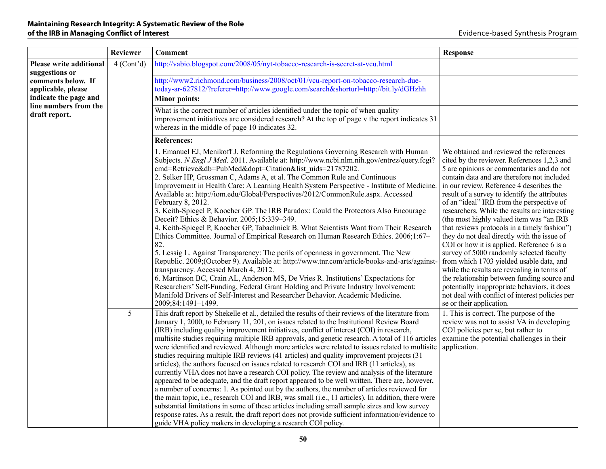|                                           | Reviewer   | <b>Comment</b>                                                                                                                                                                                                                                                                                                                                                                                                                                                                                                                                                                                                                                                                                                                                                                                                                                                                                                                                                                                                                                                                                                                                                                                                                                                                                                                                                                | <b>Response</b>                                                                                                                                                                                                                                                                                                                                                                                                                                                                                                                                                                                                                                                                                                                                                                                                                                                                              |
|-------------------------------------------|------------|-------------------------------------------------------------------------------------------------------------------------------------------------------------------------------------------------------------------------------------------------------------------------------------------------------------------------------------------------------------------------------------------------------------------------------------------------------------------------------------------------------------------------------------------------------------------------------------------------------------------------------------------------------------------------------------------------------------------------------------------------------------------------------------------------------------------------------------------------------------------------------------------------------------------------------------------------------------------------------------------------------------------------------------------------------------------------------------------------------------------------------------------------------------------------------------------------------------------------------------------------------------------------------------------------------------------------------------------------------------------------------|----------------------------------------------------------------------------------------------------------------------------------------------------------------------------------------------------------------------------------------------------------------------------------------------------------------------------------------------------------------------------------------------------------------------------------------------------------------------------------------------------------------------------------------------------------------------------------------------------------------------------------------------------------------------------------------------------------------------------------------------------------------------------------------------------------------------------------------------------------------------------------------------|
| Please write additional<br>suggestions or | 4 (Cont'd) | http://vabio.blogspot.com/2008/05/nyt-tobacco-research-is-secret-at-vcu.html                                                                                                                                                                                                                                                                                                                                                                                                                                                                                                                                                                                                                                                                                                                                                                                                                                                                                                                                                                                                                                                                                                                                                                                                                                                                                                  |                                                                                                                                                                                                                                                                                                                                                                                                                                                                                                                                                                                                                                                                                                                                                                                                                                                                                              |
| comments below. If<br>applicable, please  |            | http://www2.richmond.com/business/2008/oct/01/vcu-report-on-tobacco-research-due-<br>today-ar-627812/?referer=http://www.google.com/search&shorturl=http://bit.ly/dGHzhh                                                                                                                                                                                                                                                                                                                                                                                                                                                                                                                                                                                                                                                                                                                                                                                                                                                                                                                                                                                                                                                                                                                                                                                                      |                                                                                                                                                                                                                                                                                                                                                                                                                                                                                                                                                                                                                                                                                                                                                                                                                                                                                              |
| indicate the page and                     |            | <b>Minor points:</b>                                                                                                                                                                                                                                                                                                                                                                                                                                                                                                                                                                                                                                                                                                                                                                                                                                                                                                                                                                                                                                                                                                                                                                                                                                                                                                                                                          |                                                                                                                                                                                                                                                                                                                                                                                                                                                                                                                                                                                                                                                                                                                                                                                                                                                                                              |
| line numbers from the<br>draft report.    |            | What is the correct number of articles identified under the topic of when quality<br>improvement initiatives are considered research? At the top of page v the report indicates 31<br>whereas in the middle of page 10 indicates 32.                                                                                                                                                                                                                                                                                                                                                                                                                                                                                                                                                                                                                                                                                                                                                                                                                                                                                                                                                                                                                                                                                                                                          |                                                                                                                                                                                                                                                                                                                                                                                                                                                                                                                                                                                                                                                                                                                                                                                                                                                                                              |
|                                           |            | <b>References:</b>                                                                                                                                                                                                                                                                                                                                                                                                                                                                                                                                                                                                                                                                                                                                                                                                                                                                                                                                                                                                                                                                                                                                                                                                                                                                                                                                                            |                                                                                                                                                                                                                                                                                                                                                                                                                                                                                                                                                                                                                                                                                                                                                                                                                                                                                              |
|                                           |            | 1. Emanuel EJ, Menikoff J. Reforming the Regulations Governing Research with Human<br>Subjects. N Engl J Med. 2011. Available at: http://www.ncbi.nlm.nih.gov/entrez/query.fcgi?<br>cmd=Retrieve&db=PubMed&dopt=Citation&list_uids=21787202.<br>2. Selker HP, Grossman C, Adams A, et al. The Common Rule and Continuous<br>Improvement in Health Care: A Learning Health System Perspective - Institute of Medicine.<br>Available at: http://iom.edu/Global/Perspectives/2012/CommonRule.aspx. Accessed<br>February 8, 2012.<br>3. Keith-Spiegel P, Koocher GP. The IRB Paradox: Could the Protectors Also Encourage<br>Deceit? Ethics & Behavior. 2005;15:339-349.<br>4. Keith-Spiegel P, Koocher GP, Tabachnick B. What Scientists Want from Their Research<br>Ethics Committee. Journal of Empirical Research on Human Research Ethics. 2006;1:67-<br>82.<br>5. Lessig L. Against Transparency: The perils of openness in government. The New<br>Republic. 2009;(October 9). Available at: http://www.tnr.com/article/books-and-arts/against-<br>transparency. Accessed March 4, 2012.<br>6. Martinson BC, Crain AL, Anderson MS, De Vries R. Institutions' Expectations for<br>Researchers' Self-Funding, Federal Grant Holding and Private Industry Involvement:<br>Manifold Drivers of Self-Interest and Researcher Behavior. Academic Medicine.<br>2009;84:1491-1499. | We obtained and reviewed the references<br>cited by the reviewer. References 1,2,3 and<br>5 are opinions or commentaries and do not<br>contain data and are therefore not included<br>in our review. Reference 4 describes the<br>result of a survey to identify the attributes<br>of an "ideal" IRB from the perspective of<br>researchers. While the results are interesting<br>(the most highly valued item was "an IRB<br>that reviews protocols in a timely fashion")<br>they do not deal directly with the issue of<br>COI or how it is applied. Reference 6 is a<br>survey of 5000 randomly selected faculty<br>from which 1703 yielded usable data, and<br>while the results are revealing in terms of<br>the relationship between funding source and<br>potentially inappropriate behaviors, it does<br>not deal with conflict of interest policies per<br>se or their application. |
|                                           | 5          | This draft report by Shekelle et al., detailed the results of their reviews of the literature from<br>January 1, 2000, to February 11, 201, on issues related to the Institutional Review Board<br>(IRB) including quality improvement initiatives, conflict of interest (COI) in research,<br>multisite studies requiring multiple IRB approvals, and genetic research. A total of 116 articles<br>were identified and reviewed. Although more articles were related to issues related to multisite<br>studies requiring multiple IRB reviews (41 articles) and quality improvement projects (31<br>articles), the authors focused on issues related to research COI and IRB (11 articles), as<br>currently VHA does not have a research COI policy. The review and analysis of the literature<br>appeared to be adequate, and the draft report appeared to be well written. There are, however,<br>a number of concerns: 1. As pointed out by the authors, the number of articles reviewed for<br>the main topic, i.e., research COI and IRB, was small (i.e., 11 articles). In addition, there were<br>substantial limitations in some of these articles including small sample sizes and low survey<br>response rates. As a result, the draft report does not provide sufficient information/evidence to<br>guide VHA policy makers in developing a research COI policy.  | 1. This is correct. The purpose of the<br>review was not to assist VA in developing<br>COI policies per se, but rather to<br>examine the potential challenges in their<br>application.                                                                                                                                                                                                                                                                                                                                                                                                                                                                                                                                                                                                                                                                                                       |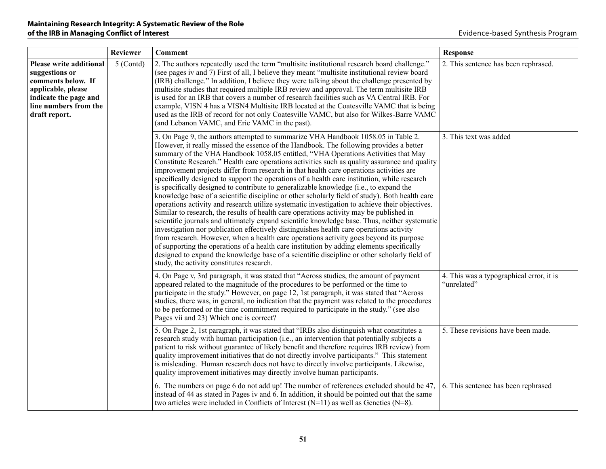|                                                                                                                                                                 | <b>Reviewer</b> | <b>Comment</b>                                                                                                                                                                                                                                                                                                                                                                                                                                                                                                                                                                                                                                                                                                                                                                                                                                                                                                                                                                                                                                                                                                                                                                                                                                                                                                                                                                                                                                                                        | <b>Response</b>                                         |
|-----------------------------------------------------------------------------------------------------------------------------------------------------------------|-----------------|---------------------------------------------------------------------------------------------------------------------------------------------------------------------------------------------------------------------------------------------------------------------------------------------------------------------------------------------------------------------------------------------------------------------------------------------------------------------------------------------------------------------------------------------------------------------------------------------------------------------------------------------------------------------------------------------------------------------------------------------------------------------------------------------------------------------------------------------------------------------------------------------------------------------------------------------------------------------------------------------------------------------------------------------------------------------------------------------------------------------------------------------------------------------------------------------------------------------------------------------------------------------------------------------------------------------------------------------------------------------------------------------------------------------------------------------------------------------------------------|---------------------------------------------------------|
| <b>Please write additional</b><br>suggestions or<br>comments below. If<br>applicable, please<br>indicate the page and<br>line numbers from the<br>draft report. | 5 (Contd)       | 2. The authors repeatedly used the term "multisite institutional research board challenge."<br>(see pages iv and 7) First of all, I believe they meant "multisite institutional review board<br>(IRB) challenge." In addition, I believe they were talking about the challenge presented by<br>multisite studies that required multiple IRB review and approval. The term multisite IRB<br>is used for an IRB that covers a number of research facilities such as VA Central IRB. For<br>example, VISN 4 has a VISN4 Multisite IRB located at the Coatesville VAMC that is being<br>used as the IRB of record for not only Coatesville VAMC, but also for Wilkes-Barre VAMC<br>(and Lebanon VAMC, and Erie VAMC in the past).                                                                                                                                                                                                                                                                                                                                                                                                                                                                                                                                                                                                                                                                                                                                                         | 2. This sentence has been rephrased.                    |
|                                                                                                                                                                 |                 | 3. On Page 9, the authors attempted to summarize VHA Handbook 1058.05 in Table 2.<br>However, it really missed the essence of the Handbook. The following provides a better<br>summary of the VHA Handbook 1058.05 entitled, "VHA Operations Activities that May<br>Constitute Research." Health care operations activities such as quality assurance and quality<br>improvement projects differ from research in that health care operations activities are<br>specifically designed to support the operations of a health care institution, while research<br>is specifically designed to contribute to generalizable knowledge (i.e., to expand the<br>knowledge base of a scientific discipline or other scholarly field of study). Both health care<br>operations activity and research utilize systematic investigation to achieve their objectives.<br>Similar to research, the results of health care operations activity may be published in<br>scientific journals and ultimately expand scientific knowledge base. Thus, neither systematic<br>investigation nor publication effectively distinguishes health care operations activity<br>from research. However, when a health care operations activity goes beyond its purpose<br>of supporting the operations of a health care institution by adding elements specifically<br>designed to expand the knowledge base of a scientific discipline or other scholarly field of<br>study, the activity constitutes research. | 3. This text was added                                  |
|                                                                                                                                                                 |                 | 4. On Page v, 3rd paragraph, it was stated that "Across studies, the amount of payment<br>appeared related to the magnitude of the procedures to be performed or the time to<br>participate in the study." However, on page 12, 1st paragraph, it was stated that "Across<br>studies, there was, in general, no indication that the payment was related to the procedures<br>to be performed or the time commitment required to participate in the study." (see also<br>Pages vii and 23) Which one is correct?                                                                                                                                                                                                                                                                                                                                                                                                                                                                                                                                                                                                                                                                                                                                                                                                                                                                                                                                                                       | 4. This was a typographical error, it is<br>"unrelated" |
|                                                                                                                                                                 |                 | 5. On Page 2, 1st paragraph, it was stated that "IRBs also distinguish what constitutes a<br>research study with human participation (i.e., an intervention that potentially subjects a<br>patient to risk without guarantee of likely benefit and therefore requires IRB review) from<br>quality improvement initiatives that do not directly involve participants." This statement<br>is misleading. Human research does not have to directly involve participants. Likewise,<br>quality improvement initiatives may directly involve human participants.                                                                                                                                                                                                                                                                                                                                                                                                                                                                                                                                                                                                                                                                                                                                                                                                                                                                                                                           | 5. These revisions have been made.                      |
|                                                                                                                                                                 |                 | 6. The numbers on page 6 do not add up! The number of references excluded should be 47,<br>instead of 44 as stated in Pages iv and 6. In addition, it should be pointed out that the same<br>two articles were included in Conflicts of Interest $(N=11)$ as well as Genetics $(N=8)$ .                                                                                                                                                                                                                                                                                                                                                                                                                                                                                                                                                                                                                                                                                                                                                                                                                                                                                                                                                                                                                                                                                                                                                                                               | 6. This sentence has been rephrased                     |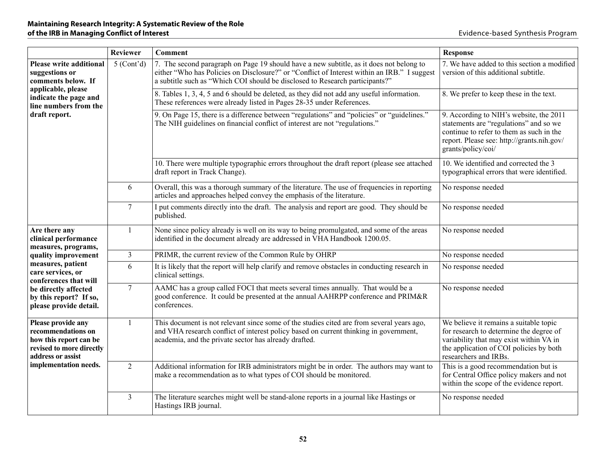|                                                                                                                     | <b>Reviewer</b> | <b>Comment</b>                                                                                                                                                                                                                                                         | <b>Response</b>                                                                                                                                                                                   |
|---------------------------------------------------------------------------------------------------------------------|-----------------|------------------------------------------------------------------------------------------------------------------------------------------------------------------------------------------------------------------------------------------------------------------------|---------------------------------------------------------------------------------------------------------------------------------------------------------------------------------------------------|
| <b>Please write additional</b><br>suggestions or<br>comments below. If                                              | $5$ (Cont'd)    | 7. The second paragraph on Page 19 should have a new subtitle, as it does not belong to<br>either "Who has Policies on Disclosure?" or "Conflict of Interest within an IRB." I suggest<br>a subtitle such as "Which COI should be disclosed to Research participants?" | 7. We have added to this section a modified<br>version of this additional subtitle.                                                                                                               |
| applicable, please<br>indicate the page and<br>line numbers from the<br>draft report.                               |                 | 8. Tables 1, 3, 4, 5 and 6 should be deleted, as they did not add any useful information.<br>These references were already listed in Pages 28-35 under References.                                                                                                     | 8. We prefer to keep these in the text.                                                                                                                                                           |
|                                                                                                                     |                 | 9. On Page 15, there is a difference between "regulations" and "policies" or "guidelines."<br>The NIH guidelines on financial conflict of interest are not "regulations."                                                                                              | 9. According to NIH's website, the 2011<br>statements are "regulations" and so we<br>continue to refer to them as such in the<br>report. Please see: http://grants.nih.gov/<br>grants/policy/coi/ |
|                                                                                                                     |                 | 10. There were multiple typographic errors throughout the draft report (please see attached<br>draft report in Track Change).                                                                                                                                          | 10. We identified and corrected the 3<br>typographical errors that were identified.                                                                                                               |
|                                                                                                                     | 6               | Overall, this was a thorough summary of the literature. The use of frequencies in reporting<br>articles and approaches helped convey the emphasis of the literature.                                                                                                   | No response needed                                                                                                                                                                                |
|                                                                                                                     | $\overline{7}$  | I put comments directly into the draft. The analysis and report are good. They should be<br>published.                                                                                                                                                                 | No response needed                                                                                                                                                                                |
| Are there any<br>clinical performance<br>measures, programs,                                                        |                 | None since policy already is well on its way to being promulgated, and some of the areas<br>identified in the document already are addressed in VHA Handbook 1200.05.                                                                                                  | No response needed                                                                                                                                                                                |
| quality improvement                                                                                                 | $\overline{3}$  | PRIMR, the current review of the Common Rule by OHRP                                                                                                                                                                                                                   | No response needed                                                                                                                                                                                |
| measures, patient<br>care services, or<br>conferences that will                                                     | 6               | It is likely that the report will help clarify and remove obstacles in conducting research in<br>clinical settings.                                                                                                                                                    | No response needed                                                                                                                                                                                |
| be directly affected<br>by this report? If so,<br>please provide detail.                                            | $\overline{7}$  | AAMC has a group called FOCI that meets several times annually. That would be a<br>good conference. It could be presented at the annual AAHRPP conference and PRIM&R<br>conferences.                                                                                   | No response needed                                                                                                                                                                                |
| Please provide any<br>recommendations on<br>how this report can be<br>revised to more directly<br>address or assist | -1              | This document is not relevant since some of the studies cited are from several years ago,<br>and VHA research conflict of interest policy based on current thinking in government,<br>academia, and the private sector has already drafted.                            | We believe it remains a suitable topic<br>for research to determine the degree of<br>variability that may exist within VA in<br>the application of COI policies by both<br>researchers and IRBs.  |
| implementation needs.                                                                                               | $\overline{2}$  | Additional information for IRB administrators might be in order. The authors may want to<br>make a recommendation as to what types of COI should be monitored.                                                                                                         | This is a good recommendation but is<br>for Central Office policy makers and not<br>within the scope of the evidence report.                                                                      |
|                                                                                                                     | $\overline{3}$  | The literature searches might well be stand-alone reports in a journal like Hastings or<br>Hastings IRB journal.                                                                                                                                                       | No response needed                                                                                                                                                                                |